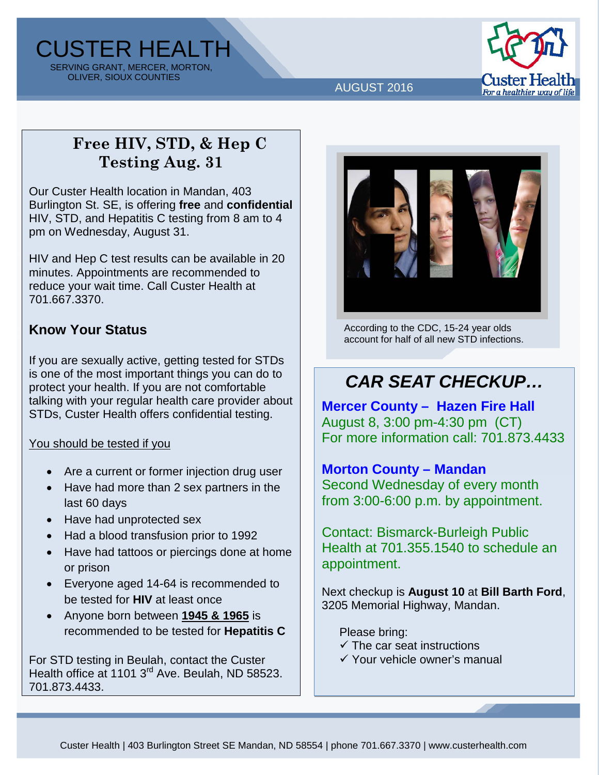CUSTER HEALTH SERVING GRANT, MERCER, MORTON, OLIVER, SIOUX COUNTIES



### AUGUST 2016

## **Free HIV, STD, & Hep C Testing Aug. 31**

Our Custer Health location in Mandan, 403 Burlington St. SE, is offering **free** and **confidential** HIV, STD, and Hepatitis C testing from 8 am to 4 pm on Wednesday, August 31.

HIV and Hep C test results can be available in 20 minutes. Appointments are recommended to reduce your wait time. Call Custer Health at 701.667.3370.

### **Know Your Status**

If you are sexually active, getting tested for STDs is one of the most important things you can do to protect your health. If you are not comfortable talking with your regular health care provider about STDs, Custer Health offers confidential testing.

### You should be tested if you

- Are a current or former injection drug user
- Have had more than 2 sex partners in the last 60 days
- Have had unprotected sex
- Had a blood transfusion prior to 1992
- Have had tattoos or piercings done at home or prison
- Everyone aged 14-64 is recommended to be tested for **HIV** at least once
- Anyone born between **1945 & 1965** is recommended to be tested for **Hepatitis C**

For STD testing in Beulah, contact the Custer Health office at 1101 3<sup>rd</sup> Ave. Beulah, ND 58523. 701.873.4433.



According to the CDC, 15-24 year olds account for half of all new STD infections.

# *CAR SEAT CHECKUP…*

**Mercer County – Hazen Fire Hall** August 8, 3:00 pm-4:30 pm (CT) For more information call: 701.873.4433

### **Morton County – Mandan**

Second Wednesday of every month from 3:00-6:00 p.m. by appointment.

Contact: Bismarck-Burleigh Public Health at 701.355.1540 to schedule an appointment.

Next checkup is **August 10** at **Bill Barth Ford**, 3205 Memorial Highway, Mandan.

Please bring:

- $\checkmark$  The car seat instructions
- $\checkmark$  Your vehicle owner's manual